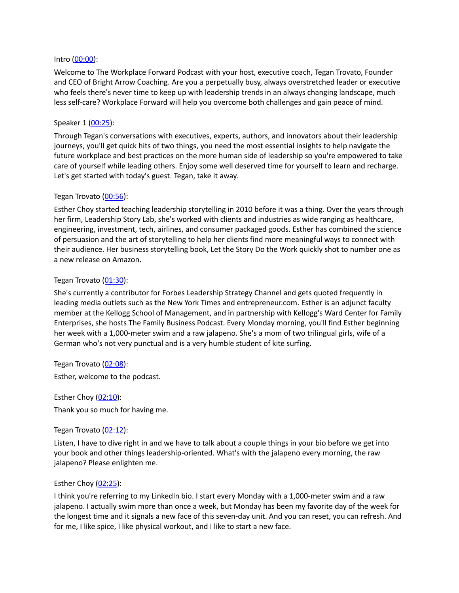#### Intro [\(00:00\)](https://www.rev.com/transcript-editor/Edit?token=BweqFz2FkQPF93emKK_FgsZFu6sahniR734HmWE-gEJ4XOrW1COk1glj8XjGUvTmet9BaB1aiC1_krMMnZxMbc6lHTg&loadFrom=DocumentDeeplink&ts=0.79):

Welcome to The Workplace Forward Podcast with your host, executive coach, Tegan Trovato, Founder and CEO of Bright Arrow Coaching. Are you a perpetually busy, always overstretched leader or executive who feels there's never time to keep up with leadership trends in an always changing landscape, much less self-care? Workplace Forward will help you overcome both challenges and gain peace of mind.

#### Speaker 1 [\(00:25\)](https://www.rev.com/transcript-editor/Edit?token=oZCYyOqa3TcM5WWlaHtdaNlPjAzzUI7SII240NE4nDGDepgKsseFL72_bVECO7hkVQUo-KjFgTZmSz0772sGJzeOKx0&loadFrom=DocumentDeeplink&ts=25.82):

Through Tegan's conversations with executives, experts, authors, and innovators about their leadership journeys, you'll get quick hits of two things, you need the most essential insights to help navigate the future workplace and best practices on the more human side of leadership so you're empowered to take care of yourself while leading others. Enjoy some well deserved time for yourself to learn and recharge. Let's get started with today's guest. Tegan, take it away.

#### Tegan Trovato ([00:56\)](https://www.rev.com/transcript-editor/Edit?token=IQI100UvDOD6fE3SOl9tzxTGWBWEISKBvXGl7srPFCxRGarjEUFwDAnqWWP92CtHkeYO5n_sZKi5vn21Gj2HxMot_YA&loadFrom=DocumentDeeplink&ts=56.19):

Esther Choy started teaching leadership storytelling in 2010 before it was a thing. Over the years through her firm, Leadership Story Lab, she's worked with clients and industries as wide ranging as healthcare, engineering, investment, tech, airlines, and consumer packaged goods. Esther has combined the science of persuasion and the art of storytelling to help her clients find more meaningful ways to connect with their audience. Her business storytelling book, Let the Story Do the Work quickly shot to number one as a new release on Amazon.

### Tegan Trovato ([01:30\)](https://www.rev.com/transcript-editor/Edit?token=hQbdHpix0sc5nhkDCRu_ueEYJBPlcdQ5g29Vp5UAf9spxFQ8_7L9rpHAfujKTWV9xbT_eaQS7CFDfYfakNtNB0TnMz0&loadFrom=DocumentDeeplink&ts=90.03):

She's currently a contributor for Forbes Leadership Strategy Channel and gets quoted frequently in leading media outlets such as the New York Times and entrepreneur.com. Esther is an adjunct faculty member at the Kellogg School of Management, and in partnership with Kellogg's Ward Center for Family Enterprises, she hosts The Family Business Podcast. Every Monday morning, you'll find Esther beginning her week with a 1,000-meter swim and a raw jalapeno. She's a mom of two trilingual girls, wife of a German who's not very punctual and is a very humble student of kite surfing.

Tegan Trovato ([02:08\)](https://www.rev.com/transcript-editor/Edit?token=lz2eXraMnxo9tBo5MYtTVv9xTNxnXDcaBeYj9xFymAYyCbv4Z09mpjLvx9YbO01JD-5mEvSDnmD62leS3RDhpDOZFWI&loadFrom=DocumentDeeplink&ts=128.16):

Esther, welcome to the podcast.

Esther Choy  $(02:10)$  $(02:10)$  $(02:10)$ : Thank you so much for having me.

### Tegan Trovato ([02:12\)](https://www.rev.com/transcript-editor/Edit?token=PnPja4FHg5VD8WS0QnTDJLrW71Q7sRKVYXMmFx7oP5VPf-63VLdRrrJD0bSV5uazBQ-62BYJH8oheTfZXmPaL1luNCI&loadFrom=DocumentDeeplink&ts=132.87):

Listen, I have to dive right in and we have to talk about a couple things in your bio before we get into your book and other things leadership-oriented. What's with the jalapeno every morning, the raw jalapeno? Please enlighten me.

#### Esther Choy ([02:25](https://www.rev.com/transcript-editor/Edit?token=hUJqcVNIT6oXzpBQTEujND87hAuzv9-A6MqQzXJIbdBBFWEmYvnZQTHRBdHRP5snHqxaeeFsfqPnporCNKgeQqFxU7Y&loadFrom=DocumentDeeplink&ts=145.58)):

I think you're referring to my LinkedIn bio. I start every Monday with a 1,000-meter swim and a raw jalapeno. I actually swim more than once a week, but Monday has been my favorite day of the week for the longest time and it signals a new face of this seven-day unit. And you can reset, you can refresh. And for me, I like spice, I like physical workout, and I like to start a new face.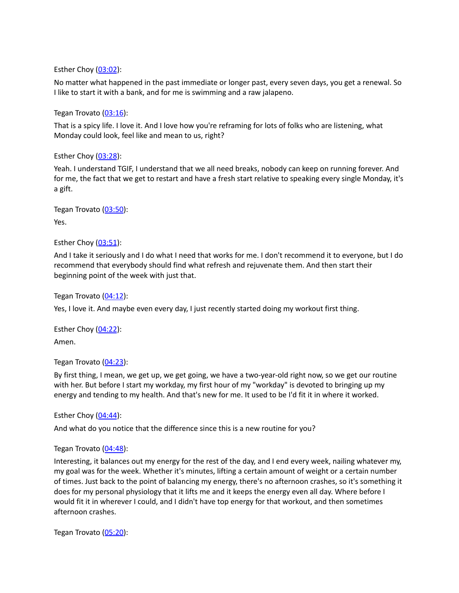Esther Choy ([03:02](https://www.rev.com/transcript-editor/Edit?token=jLknEdfzKrB_XpzKtq6J_AXfR9-XPZxbQr1sU1jTHDjaKrD5r1A0pxtiT6vStjQQRLHC_XtPe1xJp4Y0Q-pxzH3_RRM&loadFrom=DocumentDeeplink&ts=182.45)):

No matter what happened in the past immediate or longer past, every seven days, you get a renewal. So I like to start it with a bank, and for me is swimming and a raw jalapeno.

Tegan Trovato ([03:16\)](https://www.rev.com/transcript-editor/Edit?token=UsQgkT_0OAnZ5GuKSAetTWxzEhvH2sURibL-JSEvZaUg--IMISV0SSJwxZNTmXQslzuyRCFlB2RLEL692GCRjb1hO04&loadFrom=DocumentDeeplink&ts=196.31):

That is a spicy life. I love it. And I love how you're reframing for lots of folks who are listening, what Monday could look, feel like and mean to us, right?

Esther Choy ([03:28](https://www.rev.com/transcript-editor/Edit?token=uJftjsyNTSMRLflQBhys1wpw3JhtaNT5SJFC2JiJ3e6RbE5HM9d4PrUTi8qDKVIOsmK5K4P87qhYMoenaj1mlKHxdw8&loadFrom=DocumentDeeplink&ts=208.61)):

Yeah. I understand TGIF, I understand that we all need breaks, nobody can keep on running forever. And for me, the fact that we get to restart and have a fresh start relative to speaking every single Monday, it's a gift.

Tegan Trovato ([03:50\)](https://www.rev.com/transcript-editor/Edit?token=A4ZIdDSaLqu-WllMIi8PjEdONoAjPFL4luh8r_k_OasbIpApE1HeihKQsxB7N5gqL1lcuGUpWpyU8tcQhDpFzCATBbg&loadFrom=DocumentDeeplink&ts=230.95): Yes.

Esther Choy  $(03:51)$  $(03:51)$  $(03:51)$ :

And I take it seriously and I do what I need that works for me. I don't recommend it to everyone, but I do recommend that everybody should find what refresh and rejuvenate them. And then start their beginning point of the week with just that.

Tegan Trovato  $(04:12)$  $(04:12)$ : Yes, I love it. And maybe even every day, I just recently started doing my workout first thing.

Esther Choy  $(04:22)$  $(04:22)$  $(04:22)$ : Amen.

Tegan Trovato ([04:23\)](https://www.rev.com/transcript-editor/Edit?token=N4Db2esodrq8ldd6I9K_uMjZkaf69kJoc3ZUQt8o6uyqLu6dT2fW_Hc7aIEpPEDSk1NC5OiRTXSQFDE64ZjduQ6aSs4&loadFrom=DocumentDeeplink&ts=263.8):

By first thing, I mean, we get up, we get going, we have a two-year-old right now, so we get our routine with her. But before I start my workday, my first hour of my "workday" is devoted to bringing up my energy and tending to my health. And that's new for me. It used to be I'd fit it in where it worked.

Esther Choy ([04:44](https://www.rev.com/transcript-editor/Edit?token=D_Bsmil84djCUnVZSeg6kJkyzi4xI4qoLGSIQiWSvGakyGk9r9jLDsmrRQELFhCbFtqtEHO5SFD-2UcVjf6kbU3Lg7Y&loadFrom=DocumentDeeplink&ts=284.46)):

And what do you notice that the difference since this is a new routine for you?

Tegan Trovato  $(04:48)$  $(04:48)$ :

Interesting, it balances out my energy for the rest of the day, and I end every week, nailing whatever my, my goal was for the week. Whether it's minutes, lifting a certain amount of weight or a certain number of times. Just back to the point of balancing my energy, there's no afternoon crashes, so it's something it does for my personal physiology that it lifts me and it keeps the energy even all day. Where before I would fit it in wherever I could, and I didn't have top energy for that workout, and then sometimes afternoon crashes.

Tegan Trovato ([05:20\)](https://www.rev.com/transcript-editor/Edit?token=9fBWhFFSJw2T3_ZBT-JftUj8jl8JX1EhW_JEFRhtcsNbkjcqt99tSJ8FHiZkhqQBfPhjY-XoG5XGR8ozQmOHzwfV864&loadFrom=DocumentDeeplink&ts=320.96):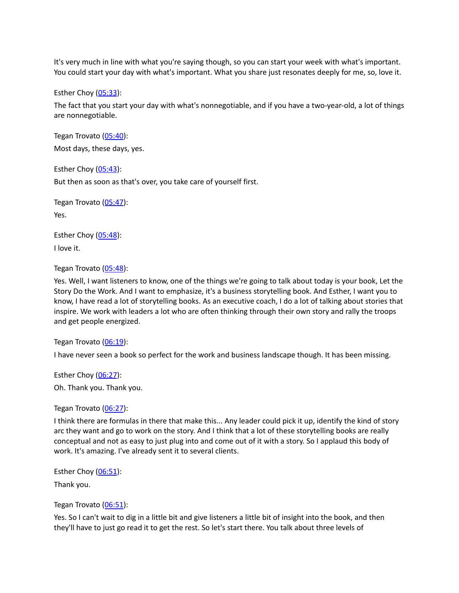It's very much in line with what you're saying though, so you can start your week with what's important. You could start your day with what's important. What you share just resonates deeply for me, so, love it.

Esther Choy  $(05:33)$  $(05:33)$  $(05:33)$ :

The fact that you start your day with what's nonnegotiable, and if you have a two-year-old, a lot of things are nonnegotiable.

Tegan Trovato ([05:40\)](https://www.rev.com/transcript-editor/Edit?token=kwxf7AMklOnOe6ymKgEbopqh_hZuii15euTK7w2C9RvwPgeG6_6X_-Ke1sDCMTs0mn5DKTY05WU45wByvjiAnR_U6QM&loadFrom=DocumentDeeplink&ts=340.42): Most days, these days, yes.

Esther Choy  $(05:43)$  $(05:43)$  $(05:43)$ : But then as soon as that's over, you take care of yourself first.

Tegan Trovato ([05:47\)](https://www.rev.com/transcript-editor/Edit?token=fQtZKUwxtQ6Y0IQsoiMD9PjM1-ZSrm7KbxfWdYQjmfyHBunxuQXk6m-bazPXKkK7BVH_pNQjMKJrfm3AjOQO9ET6LuQ&loadFrom=DocumentDeeplink&ts=347.65): Yes.

Esther Choy ([05:48](https://www.rev.com/transcript-editor/Edit?token=ftlE5Ve7rRD2xcDqm-WyLONEa08_Newtg71SpvZOyWm71I1wf66B5_k3ZYdKDP4-SSFFbTyBVq_sVQO_p1mwrVUIbZg&loadFrom=DocumentDeeplink&ts=348.05)): I love it.

Tegan Trovato ([05:48\)](https://www.rev.com/transcript-editor/Edit?token=vuQia_kFJa5TjkDRbLV2vVsDFwoo5E-4y12sSESHwIZHPrXwsXqSzEcZONlnVj-4gFeJhoKeuAKS2zY71E28vLPJ0Hs&loadFrom=DocumentDeeplink&ts=348.86):

Yes. Well, I want listeners to know, one of the things we're going to talk about today is your book, Let the Story Do the Work. And I want to emphasize, it's a business storytelling book. And Esther, I want you to know, I have read a lot of storytelling books. As an executive coach, I do a lot of talking about stories that inspire. We work with leaders a lot who are often thinking through their own story and rally the troops and get people energized.

Tegan Trovato ([06:19\)](https://www.rev.com/transcript-editor/Edit?token=QKC5Jmn2OYAqO6o3-Kh44Wdik5XfsQwzXJR1NeWOyxptP8X4rb7ZZw5522EbD_qQqWmjbS98LfjeSHhVMT1qeSSKZRk&loadFrom=DocumentDeeplink&ts=379.55):

I have never seen a book so perfect for the work and business landscape though. It has been missing.

Esther Choy  $(06:27)$  $(06:27)$  $(06:27)$ : Oh. Thank you. Thank you.

Tegan Trovato ([06:27\)](https://www.rev.com/transcript-editor/Edit?token=uc0W-bGq6M3xnn4VHBJlH0iE9pHy9XpC7e-fL8YHMKIcXzruYs7IaNFHrn7rku1sNanZJDqZ298OFhC63tdYDnGeooA&loadFrom=DocumentDeeplink&ts=387.8):

I think there are formulas in there that make this... Any leader could pick it up, identify the kind of story arc they want and go to work on the story. And I think that a lot of these storytelling books are really conceptual and not as easy to just plug into and come out of it with a story. So I applaud this body of work. It's amazing. I've already sent it to several clients.

Esther Choy  $(06:51)$  $(06:51)$  $(06:51)$ :

Thank you.

Tegan Trovato ([06:51\)](https://www.rev.com/transcript-editor/Edit?token=hGyMMh3-0E9c7IN2pPWRuTVEWs59wXWfIb9MCWUsydwI46mIZZg1MwVt092-cxtRor9qcuNa6sCzoPPc0fauMGXVrEM&loadFrom=DocumentDeeplink&ts=411.68):

Yes. So I can't wait to dig in a little bit and give listeners a little bit of insight into the book, and then they'll have to just go read it to get the rest. So let's start there. You talk about three levels of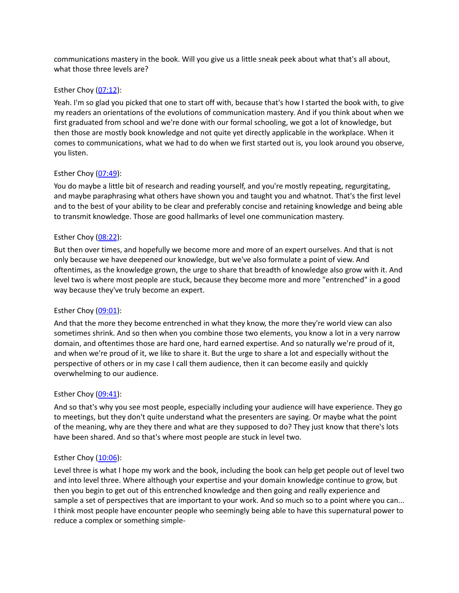communications mastery in the book. Will you give us a little sneak peek about what that's all about, what those three levels are?

### Esther Choy  $(07:12)$  $(07:12)$  $(07:12)$ :

Yeah. I'm so glad you picked that one to start off with, because that's how I started the book with, to give my readers an orientations of the evolutions of communication mastery. And if you think about when we first graduated from school and we're done with our formal schooling, we got a lot of knowledge, but then those are mostly book knowledge and not quite yet directly applicable in the workplace. When it comes to communications, what we had to do when we first started out is, you look around you observe, you listen.

# Esther Choy  $(07:49)$  $(07:49)$  $(07:49)$ :

You do maybe a little bit of research and reading yourself, and you're mostly repeating, regurgitating, and maybe paraphrasing what others have shown you and taught you and whatnot. That's the first level and to the best of your ability to be clear and preferably concise and retaining knowledge and being able to transmit knowledge. Those are good hallmarks of level one communication mastery.

# Esther Choy  $(08:22)$  $(08:22)$  $(08:22)$ :

But then over times, and hopefully we become more and more of an expert ourselves. And that is not only because we have deepened our knowledge, but we've also formulate a point of view. And oftentimes, as the knowledge grown, the urge to share that breadth of knowledge also grow with it. And level two is where most people are stuck, because they become more and more "entrenched" in a good way because they've truly become an expert.

### Esther Choy  $(09:01)$  $(09:01)$  $(09:01)$ :

And that the more they become entrenched in what they know, the more they're world view can also sometimes shrink. And so then when you combine those two elements, you know a lot in a very narrow domain, and oftentimes those are hard one, hard earned expertise. And so naturally we're proud of it, and when we're proud of it, we like to share it. But the urge to share a lot and especially without the perspective of others or in my case I call them audience, then it can become easily and quickly overwhelming to our audience.

### Esther Choy  $(09:41)$  $(09:41)$  $(09:41)$ :

And so that's why you see most people, especially including your audience will have experience. They go to meetings, but they don't quite understand what the presenters are saying. Or maybe what the point of the meaning, why are they there and what are they supposed to do? They just know that there's lots have been shared. And so that's where most people are stuck in level two.

### Esther Choy ([10:06](https://www.rev.com/transcript-editor/Edit?token=6IjwdDIJlBIP90kQFDMcZs7JWjQoy4n6Spe8_7XO7AiJa_IuAZtvhmpNGLY-imTPsS1p9Trtm-qccQ6fV49_XpKrsi4&loadFrom=DocumentDeeplink&ts=606.92)):

Level three is what I hope my work and the book, including the book can help get people out of level two and into level three. Where although your expertise and your domain knowledge continue to grow, but then you begin to get out of this entrenched knowledge and then going and really experience and sample a set of perspectives that are important to your work. And so much so to a point where you can... I think most people have encounter people who seemingly being able to have this supernatural power to reduce a complex or something simple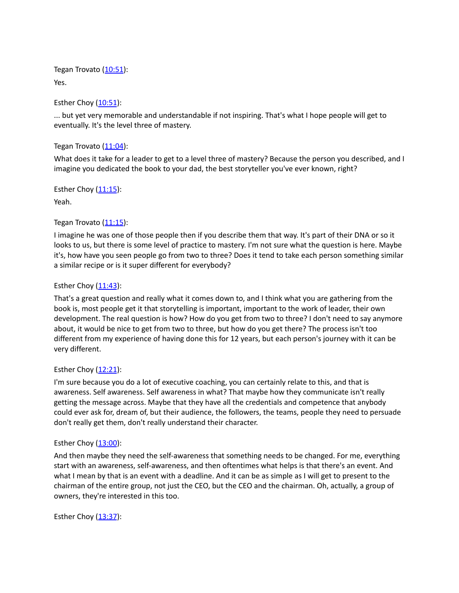Tegan Trovato ([10:51\)](https://www.rev.com/transcript-editor/Edit?token=3ueqZl9fKnb1tSeBF_P_exEybh4FSxKPTLduALsWRW3B8MhtOqN9AYkmJcv7q_6R1PpMFklwYtU4Kpwx7NJOp222c4o&loadFrom=DocumentDeeplink&ts=651.23): Yes.

Esther Choy  $(10:51)$  $(10:51)$  $(10:51)$ :

... but yet very memorable and understandable if not inspiring. That's what I hope people will get to eventually. It's the level three of mastery.

Tegan Trovato ([11:04\)](https://www.rev.com/transcript-editor/Edit?token=cFtPT1ZDnsXKsRQbEm_aR62aaxYOgxLsD2M1zGbpL4PaDJ2wMcyTNQWM2-DaUf5oFRYKQT44vRS5FZZb1eNZAPwGYt8&loadFrom=DocumentDeeplink&ts=664.12):

What does it take for a leader to get to a level three of mastery? Because the person you described, and I imagine you dedicated the book to your dad, the best storyteller you've ever known, right?

Esther Choy  $(11:15)$  $(11:15)$  $(11:15)$ :

Yeah.

# Tegan Trovato ([11:15\)](https://www.rev.com/transcript-editor/Edit?token=Q9Z_B0RMuRCAZvSaWS2CcYo1XWd546MfXKSPjbqRgMkl7rYAan9YxkUjSXHr6iag9RxNgjioXzdp3riiw7zsd69qweo&loadFrom=DocumentDeeplink&ts=675.37):

I imagine he was one of those people then if you describe them that way. It's part of their DNA or so it looks to us, but there is some level of practice to mastery. I'm not sure what the question is here. Maybe it's, how have you seen people go from two to three? Does it tend to take each person something similar a similar recipe or is it super different for everybody?

# Esther Choy  $(11:43)$  $(11:43)$  $(11:43)$ :

That's a great question and really what it comes down to, and I think what you are gathering from the book is, most people get it that storytelling is important, important to the work of leader, their own development. The real question is how? How do you get from two to three? I don't need to say anymore about, it would be nice to get from two to three, but how do you get there? The process isn't too different from my experience of having done this for 12 years, but each person's journey with it can be very different.

### Esther Choy ([12:21](https://www.rev.com/transcript-editor/Edit?token=gqcW-8-n3LYrk-3k7UBTutrJcNrIjTQVU7hqvyVbVSyzpKm4ifglZ0j59BZxVTSa8ygdzqA6mPxvMhNO9YvUxhMAVkU&loadFrom=DocumentDeeplink&ts=741.44)):

I'm sure because you do a lot of executive coaching, you can certainly relate to this, and that is awareness. Self awareness. Self awareness in what? That maybe how they communicate isn't really getting the message across. Maybe that they have all the credentials and competence that anybody could ever ask for, dream of, but their audience, the followers, the teams, people they need to persuade don't really get them, don't really understand their character.

# Esther Choy  $(13:00)$  $(13:00)$  $(13:00)$ :

And then maybe they need the self-awareness that something needs to be changed. For me, everything start with an awareness, self-awareness, and then oftentimes what helps is that there's an event. And what I mean by that is an event with a deadline. And it can be as simple as I will get to present to the chairman of the entire group, not just the CEO, but the CEO and the chairman. Oh, actually, a group of owners, they're interested in this too.

Esther Choy  $(13:37)$  $(13:37)$  $(13:37)$ :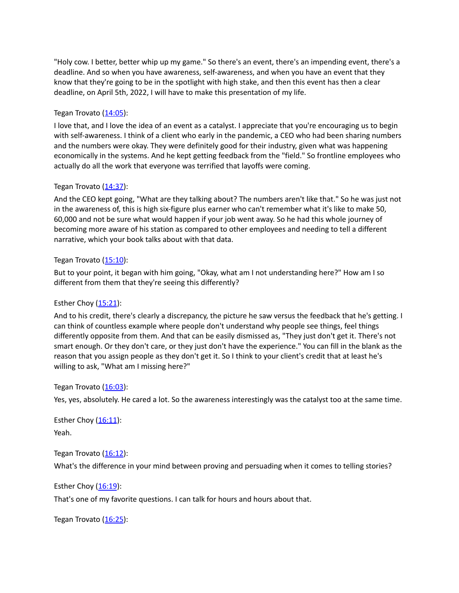"Holy cow. I better, better whip up my game." So there's an event, there's an impending event, there's a deadline. And so when you have awareness, self-awareness, and when you have an event that they know that they're going to be in the spotlight with high stake, and then this event has then a clear deadline, on April 5th, 2022, I will have to make this presentation of my life.

### Tegan Trovato  $(14:05)$  $(14:05)$ :

I love that, and I love the idea of an event as a catalyst. I appreciate that you're encouraging us to begin with self-awareness. I think of a client who early in the pandemic, a CEO who had been sharing numbers and the numbers were okay. They were definitely good for their industry, given what was happening economically in the systems. And he kept getting feedback from the "field." So frontline employees who actually do all the work that everyone was terrified that layoffs were coming.

#### Tegan Trovato  $(14:37)$  $(14:37)$ :

And the CEO kept going, "What are they talking about? The numbers aren't like that." So he was just not in the awareness of, this is high six-figure plus earner who can't remember what it's like to make 50, 60,000 and not be sure what would happen if your job went away. So he had this whole journey of becoming more aware of his station as compared to other employees and needing to tell a different narrative, which your book talks about with that data.

#### Tegan Trovato ([15:10\)](https://www.rev.com/transcript-editor/Edit?token=oTkqaUIqvN4g9Yy3ta7JUZdmlcvVPwJmhCb4ENFx2iGyv23BDdm5yb3u1gp_npIlkGIXsX0JxeRKWrKC2dfYDMu9Lcc&loadFrom=DocumentDeeplink&ts=910.2):

But to your point, it began with him going, "Okay, what am I not understanding here?" How am I so different from them that they're seeing this differently?

### Esther Choy  $(15:21)$  $(15:21)$  $(15:21)$ :

And to his credit, there's clearly a discrepancy, the picture he saw versus the feedback that he's getting. I can think of countless example where people don't understand why people see things, feel things differently opposite from them. And that can be easily dismissed as, "They just don't get it. There's not smart enough. Or they don't care, or they just don't have the experience." You can fill in the blank as the reason that you assign people as they don't get it. So I think to your client's credit that at least he's willing to ask, "What am I missing here?"

#### Tegan Trovato  $(16:03)$  $(16:03)$ :

Yes, yes, absolutely. He cared a lot. So the awareness interestingly was the catalyst too at the same time.

Esther Choy  $(16:11)$  $(16:11)$  $(16:11)$ : Yeah.

Tegan Trovato  $(16:12)$  $(16:12)$ : What's the difference in your mind between proving and persuading when it comes to telling stories?

#### Esther Choy ([16:19](https://www.rev.com/transcript-editor/Edit?token=qvwZ84NLwsq1FQ4Xn25ohO1Koffqob7uzF2gOjwoHldWtGcXOcxquS_7BlnXR97YGaF68n2hnCkDDbb2perlyLZquL8&loadFrom=DocumentDeeplink&ts=979.37)):

That's one of my favorite questions. I can talk for hours and hours about that.

Tegan Trovato  $(16:25)$  $(16:25)$ :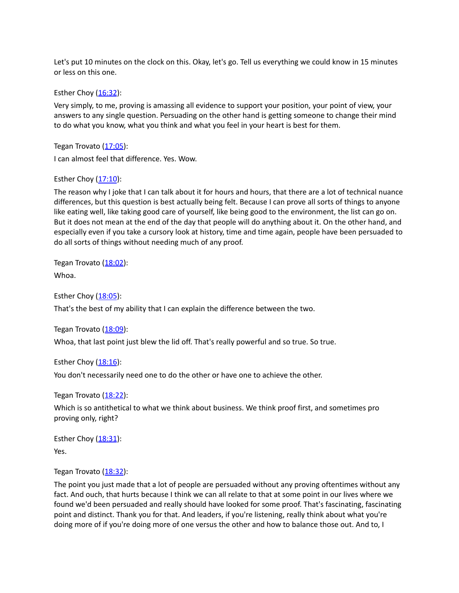Let's put 10 minutes on the clock on this. Okay, let's go. Tell us everything we could know in 15 minutes or less on this one.

Esther Choy ([16:32](https://www.rev.com/transcript-editor/Edit?token=ADSuivNw9LEcUFg8I1BEBM5eINZWnkuKHl9KBlNbZEkLcPuq2Fs3fzGS5sTWdZ4JL42sDnDDlXDpCICaHBSe0TLZkbs&loadFrom=DocumentDeeplink&ts=992.27)):

Very simply, to me, proving is amassing all evidence to support your position, your point of view, your answers to any single question. Persuading on the other hand is getting someone to change their mind to do what you know, what you think and what you feel in your heart is best for them.

Tegan Trovato ([17:05\)](https://www.rev.com/transcript-editor/Edit?token=QNo601LNapJOc2VAQfQg7sdq8m7CwKXYgSxh0pRMXhsTx-rvjRPqAqSEaCvqrjk4LhRMN2hw3jctWtTQy2pIjJrfNBw&loadFrom=DocumentDeeplink&ts=1025.49): I can almost feel that difference. Yes. Wow.

# Esther Choy  $(17:10)$  $(17:10)$  $(17:10)$ :

The reason why I joke that I can talk about it for hours and hours, that there are a lot of technical nuance differences, but this question is best actually being felt. Because I can prove all sorts of things to anyone like eating well, like taking good care of yourself, like being good to the environment, the list can go on. But it does not mean at the end of the day that people will do anything about it. On the other hand, and especially even if you take a cursory look at history, time and time again, people have been persuaded to do all sorts of things without needing much of any proof.

Tegan Trovato ([18:02\)](https://www.rev.com/transcript-editor/Edit?token=vzU7tQKK9km5XxU377WOBnwOLgmXl6Bf6Q-PIsrpHf7vWGYaluSNgOMLsu04xEMgpKa7OrGYwcBofoRRgUTSBw0tq0E&loadFrom=DocumentDeeplink&ts=1082.95): Whoa.

Esther Choy ([18:05](https://www.rev.com/transcript-editor/Edit?token=PpKUnv106KQy4lAdCiWIHlsu3gj9XvKGIuq7eu-oKiCjbsKQIbEZd2CNBWyznta2sUWtnY8hWoxJGbYpQjM6kvSJSI0&loadFrom=DocumentDeeplink&ts=1085.17)):

That's the best of my ability that I can explain the difference between the two.

Tegan Trovato ([18:09\)](https://www.rev.com/transcript-editor/Edit?token=3lPGCX6YeZsZT2XUZbWvJItg0yFrV9ml3Heksxt73MXOfZUgpd0_epttOwLs2GYw-UWh-zRMoCNkrffgPBoPNrowG8w&loadFrom=DocumentDeeplink&ts=1089.24):

Whoa, that last point just blew the lid off. That's really powerful and so true. So true.

Esther Choy  $(18:16)$  $(18:16)$  $(18:16)$ : You don't necessarily need one to do the other or have one to achieve the other.

Tegan Trovato ([18:22\)](https://www.rev.com/transcript-editor/Edit?token=Jv2gYE_WfeQfny1mfqw7-8AUOpkTSd3NBGXjuBP3ndzTEhlIIeNU68x_Ol7wgACwMR356VojlZ8Z_6cVaeDWz3FiUFY&loadFrom=DocumentDeeplink&ts=1102.29):

Which is so antithetical to what we think about business. We think proof first, and sometimes pro proving only, right?

Esther Choy  $(18:31)$  $(18:31)$  $(18:31)$ : Yes.

Tegan Trovato ([18:32\)](https://www.rev.com/transcript-editor/Edit?token=XojEM-W6jUYJOtzOkiDPaSfZeT_TSaLnV--2Xmep4kv3e70IvAsZ13--_sWZZMWvh5JBIX0HmC2XIu5Zj4EcDSzhCTY&loadFrom=DocumentDeeplink&ts=1112.73):

The point you just made that a lot of people are persuaded without any proving oftentimes without any fact. And ouch, that hurts because I think we can all relate to that at some point in our lives where we found we'd been persuaded and really should have looked for some proof. That's fascinating, fascinating point and distinct. Thank you for that. And leaders, if you're listening, really think about what you're doing more of if you're doing more of one versus the other and how to balance those out. And to, I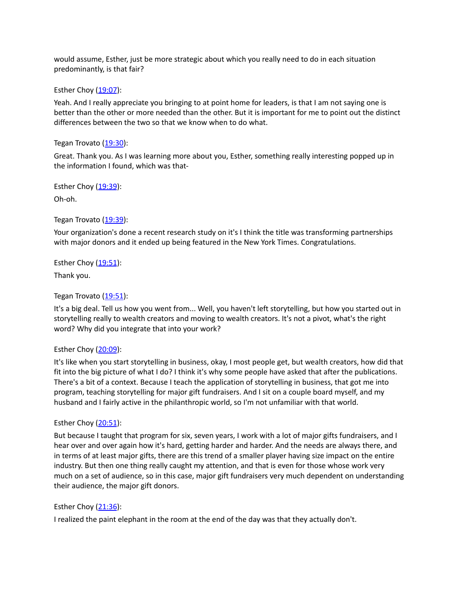would assume, Esther, just be more strategic about which you really need to do in each situation predominantly, is that fair?

Esther Choy ([19:07](https://www.rev.com/transcript-editor/Edit?token=8QrE3uSA4alGLFy8uqkuP5vizIgmWCbc5QGJ0DngB-g3Cj2xzwip1zCX2xPFvcrxjq9k9UWMH89XZhGm3LQGRJuIqPc&loadFrom=DocumentDeeplink&ts=1147.36)):

Yeah. And I really appreciate you bringing to at point home for leaders, is that I am not saying one is better than the other or more needed than the other. But it is important for me to point out the distinct differences between the two so that we know when to do what.

#### Tegan Trovato ([19:30\)](https://www.rev.com/transcript-editor/Edit?token=vHDL1Xr41b8soW5a2QRuCaqd3bt2Ilxb5k6rrHtn1DezvYaA9y2K6Rrm--WV5F28E-AlX-B4qBgoz_fvuWK6-2E-By8&loadFrom=DocumentDeeplink&ts=1170.53):

Great. Thank you. As I was learning more about you, Esther, something really interesting popped up in the information I found, which was that-

Esther Choy  $(19:39)$  $(19:39)$  $(19:39)$ : Oh-oh.

Tegan Trovato ([19:39\)](https://www.rev.com/transcript-editor/Edit?token=oXlna8EZU7qyuUQ7eX_JKhQ3MkWRkNr8EZmecgU0xQ_eRLXWhe0wm1T1Adv9Mt__IDIwxxODqtHQ018grcmogNFNqZ8&loadFrom=DocumentDeeplink&ts=1179.85):

Your organization's done a recent research study on it's I think the title was transforming partnerships with major donors and it ended up being featured in the New York Times. Congratulations.

Esther Choy  $(19:51)$  $(19:51)$  $(19:51)$ :

Thank you.

Tegan Trovato ([19:51\)](https://www.rev.com/transcript-editor/Edit?token=hLS47Sq8kJRiPj69FUvOZHr8xXRTM0Vp8gREyOqxtRe5PAkG2upYdN-ry50x_c7ZA0H8IpZPctGnhjtDdBNJBhlzvPs&loadFrom=DocumentDeeplink&ts=1191.39):

It's a big deal. Tell us how you went from... Well, you haven't left storytelling, but how you started out in storytelling really to wealth creators and moving to wealth creators. It's not a pivot, what's the right word? Why did you integrate that into your work?

### Esther Choy  $(20:09)$  $(20:09)$  $(20:09)$ :

It's like when you start storytelling in business, okay, I most people get, but wealth creators, how did that fit into the big picture of what I do? I think it's why some people have asked that after the publications. There's a bit of a context. Because I teach the application of storytelling in business, that got me into program, teaching storytelling for major gift fundraisers. And I sit on a couple board myself, and my husband and I fairly active in the philanthropic world, so I'm not unfamiliar with that world.

#### Esther Choy  $(20:51)$  $(20:51)$  $(20:51)$ :

But because I taught that program for six, seven years, I work with a lot of major gifts fundraisers, and I hear over and over again how it's hard, getting harder and harder. And the needs are always there, and in terms of at least major gifts, there are this trend of a smaller player having size impact on the entire industry. But then one thing really caught my attention, and that is even for those whose work very much on a set of audience, so in this case, major gift fundraisers very much dependent on understanding their audience, the major gift donors.

# Esther Choy ([21:36](https://www.rev.com/transcript-editor/Edit?token=lwZqImeMiEWQ7w_pdX7ONP5BXqwe8az8dD243Yt4SxrIDQEXXMWuJI87B8GeA40f_0KaZh3HIW3odKKtL7kyJurRr-A&loadFrom=DocumentDeeplink&ts=1296.89)):

I realized the paint elephant in the room at the end of the day was that they actually don't.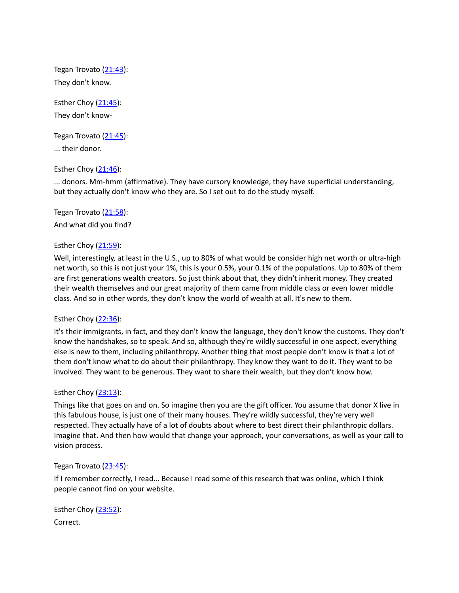Tegan Trovato ([21:43\)](https://www.rev.com/transcript-editor/Edit?token=mdFISYxDuuvKnajS1i4lcwePwvamf5H5xkePqZLp3YSS-LSqS7B8X5-yJFUFAvK6qxEUW2ivl5suGWn0dyQwtz3juu0&loadFrom=DocumentDeeplink&ts=1303.92): They don't know.

Esther Choy  $(21:45)$  $(21:45)$  $(21:45)$ : They don't know-

Tegan Trovato ([21:45\)](https://www.rev.com/transcript-editor/Edit?token=US9WHsagIlOsKbFv2M2B8YpH_lcCGB64I_WL2fJzOxznLmyo2kVmVsZeN5AvOAeDKb_Wto7S3ON97Xv9nqjk5tFH244&loadFrom=DocumentDeeplink&ts=1305.53):

... their donor.

# Esther Choy  $(21:46)$  $(21:46)$  $(21:46)$ :

... donors. Mm-hmm (affirmative). They have cursory knowledge, they have superficial understanding, but they actually don't know who they are. So I set out to do the study myself.

Tegan Trovato ([21:58\)](https://www.rev.com/transcript-editor/Edit?token=QssFq0iNTCt37ZCUQsXrROy2VkfEcxx5OpPeaHBGOb6NcKznAB10lkxzqGXVaq09xcfZBpeoGjTXFtJbSpKEQ_GPqkY&loadFrom=DocumentDeeplink&ts=1318): And what did you find?

# Esther Choy  $(21:59)$  $(21:59)$  $(21:59)$ :

Well, interestingly, at least in the U.S., up to 80% of what would be consider high net worth or ultra-high net worth, so this is not just your 1%, this is your 0.5%, your 0.1% of the populations. Up to 80% of them are first generations wealth creators. So just think about that, they didn't inherit money. They created their wealth themselves and our great majority of them came from middle class or even lower middle class. And so in other words, they don't know the world of wealth at all. It's new to them.

# Esther Choy  $(22:36)$  $(22:36)$  $(22:36)$ :

It's their immigrants, in fact, and they don't know the language, they don't know the customs. They don't know the handshakes, so to speak. And so, although they're wildly successful in one aspect, everything else is new to them, including philanthropy. Another thing that most people don't know is that a lot of them don't know what to do about their philanthropy. They know they want to do it. They want to be involved. They want to be generous. They want to share their wealth, but they don't know how.

### Esther Choy ([23:13](https://www.rev.com/transcript-editor/Edit?token=Isvkn2w1D-Gqns-GkmHTy6AcC9hEfzkUXeWlKkzQRsPuI-jDPXUBUiKsreiypw3bJkWi_BQ38mqbUY6ris8VyMx9Ias&loadFrom=DocumentDeeplink&ts=1393.03)):

Things like that goes on and on. So imagine then you are the gift officer. You assume that donor X live in this fabulous house, is just one of their many houses. They're wildly successful, they're very well respected. They actually have of a lot of doubts about where to best direct their philanthropic dollars. Imagine that. And then how would that change your approach, your conversations, as well as your call to vision process.

### Tegan Trovato ([23:45\)](https://www.rev.com/transcript-editor/Edit?token=p119f5HcpH5PT2_Lg897Mo_4oEHMPvVJF5KZ0m2hGSrF5vJ_PJvDezmalb9NBSkNIeoMlVybpUOMoZcC6tog0jqKlCo&loadFrom=DocumentDeeplink&ts=1425.28):

If I remember correctly, I read... Because I read some of this research that was online, which I think people cannot find on your website.

Esther Choy  $(23:52)$  $(23:52)$  $(23:52)$ : Correct.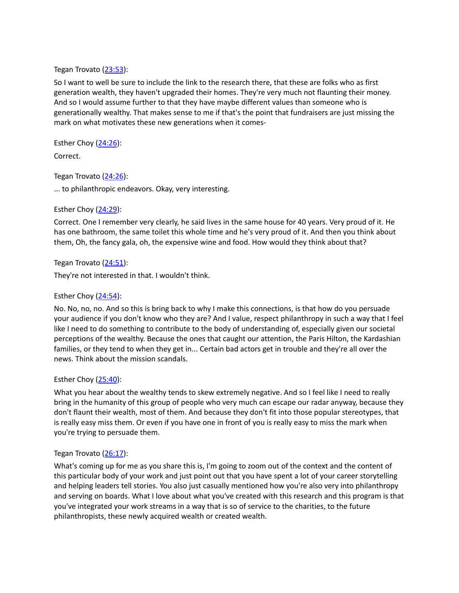#### Tegan Trovato ([23:53\)](https://www.rev.com/transcript-editor/Edit?token=S0Y4NzPaJnoC7gZgLP9YJNVWc_r1GLfo2U1Nador1rF5ZoUe4P7mwQC-PrTTC94Hn5uqKOLD1cItcsLcZd52CX4GVO0&loadFrom=DocumentDeeplink&ts=1433.05):

So I want to well be sure to include the link to the research there, that these are folks who as first generation wealth, they haven't upgraded their homes. They're very much not flaunting their money. And so I would assume further to that they have maybe different values than someone who is generationally wealthy. That makes sense to me if that's the point that fundraisers are just missing the mark on what motivates these new generations when it comes-

Esther Choy  $(24:26)$  $(24:26)$  $(24:26)$ :

Correct.

Tegan Trovato ([24:26\)](https://www.rev.com/transcript-editor/Edit?token=FGiH1sdmaHaad1sK6Ik7_CvnJpsDq3CHa8eOilY2sMS9chv83OI-9K_SpuJyMY5lW4AOS_9wzqmh97aCNN8Gt5NcCQw&loadFrom=DocumentDeeplink&ts=1466.16):

... to philanthropic endeavors. Okay, very interesting.

### Esther Choy ([24:29](https://www.rev.com/transcript-editor/Edit?token=wBiFaaAIacHlLWRNejewOcLfr2jHyBmQiJIChB18H6D1ECQXK8trgyE1a6EmLb_vNWxS22-ziHaJckvGy-n4fOoOrFk&loadFrom=DocumentDeeplink&ts=1469)):

Correct. One I remember very clearly, he said lives in the same house for 40 years. Very proud of it. He has one bathroom, the same toilet this whole time and he's very proud of it. And then you think about them, Oh, the fancy gala, oh, the expensive wine and food. How would they think about that?

Tegan Trovato ([24:51\)](https://www.rev.com/transcript-editor/Edit?token=-beLyC85CUDSqUeM93J7341ePtziJQZnNIPgT-PjeveOhkeQO9oj5U-vjxxcWVGa-k_6Z9vEkzw234pbwO6bccfhbRc&loadFrom=DocumentDeeplink&ts=1491.11):

They're not interested in that. I wouldn't think.

# Esther Choy  $(24:54)$  $(24:54)$  $(24:54)$ :

No. No, no, no. And so this is bring back to why I make this connections, is that how do you persuade your audience if you don't know who they are? And I value, respect philanthropy in such a way that I feel like I need to do something to contribute to the body of understanding of, especially given our societal perceptions of the wealthy. Because the ones that caught our attention, the Paris Hilton, the Kardashian families, or they tend to when they get in... Certain bad actors get in trouble and they're all over the news. Think about the mission scandals.

### Esther Choy ([25:40](https://www.rev.com/transcript-editor/Edit?token=nEiYT2aMIHZ0CrFS69pmhdC79bVuCHodbPmUha1a-UPJZZkqWvzRNJHHzLTVho-IkgjpIdzOXOvNfzbu_4ymwEUSMMg&loadFrom=DocumentDeeplink&ts=1540.22)):

What you hear about the wealthy tends to skew extremely negative. And so I feel like I need to really bring in the humanity of this group of people who very much can escape our radar anyway, because they don't flaunt their wealth, most of them. And because they don't fit into those popular stereotypes, that is really easy miss them. Or even if you have one in front of you is really easy to miss the mark when you're trying to persuade them.

### Tegan Trovato ([26:17\)](https://www.rev.com/transcript-editor/Edit?token=kWTjxUZ_0r22WM5G4U_530v9x77DtNPzpS8_GfhKAHbQvtjOd6RIySts9hFkQKhhnqfAZlDqdsDkhBHRWHzjOebxfeA&loadFrom=DocumentDeeplink&ts=1577.74):

What's coming up for me as you share this is, I'm going to zoom out of the context and the content of this particular body of your work and just point out that you have spent a lot of your career storytelling and helping leaders tell stories. You also just casually mentioned how you're also very into philanthropy and serving on boards. What I love about what you've created with this research and this program is that you've integrated your work streams in a way that is so of service to the charities, to the future philanthropists, these newly acquired wealth or created wealth.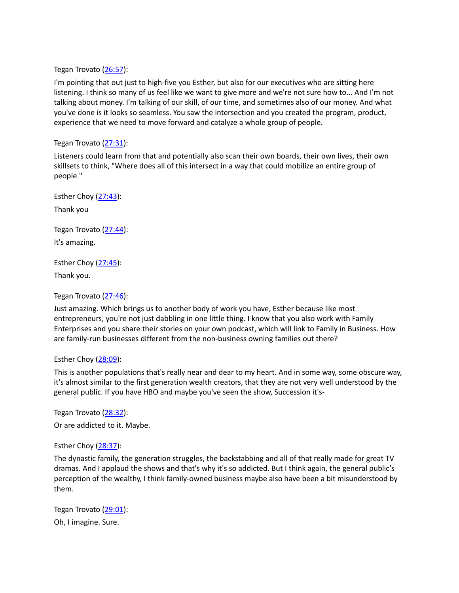Tegan Trovato ([26:57\)](https://www.rev.com/transcript-editor/Edit?token=cXS3xda2iC_MT3C99NrkCFbY9o67oo9OFhIUhp8t7_-HvxH4DCsyWqMLu6jBal8prtUqVxby2BgYKFUAs1db5pA1J2k&loadFrom=DocumentDeeplink&ts=1617.8):

I'm pointing that out just to high-five you Esther, but also for our executives who are sitting here listening. I think so many of us feel like we want to give more and we're not sure how to... And I'm not talking about money. I'm talking of our skill, of our time, and sometimes also of our money. And what you've done is it looks so seamless. You saw the intersection and you created the program, product, experience that we need to move forward and catalyze a whole group of people.

#### Tegan Trovato ([27:31\)](https://www.rev.com/transcript-editor/Edit?token=JrfkTdnc9pYfhlQz5H1mq9NUrZxD67gqjRxedQk_xvmpllSF-E6qEpoEMkbeEOTiIjy5CyRS-ZdBNdK7ua8RE7I_ZVY&loadFrom=DocumentDeeplink&ts=1651.68):

Listeners could learn from that and potentially also scan their own boards, their own lives, their own skillsets to think, "Where does all of this intersect in a way that could mobilize an entire group of people."

Esther Choy ([27:43](https://www.rev.com/transcript-editor/Edit?token=2qZfP24j-bStrxOZCq0cDOBRci8YIFadW5Z4oYCDE51sz5JLNY4OqBRx9I6xPOsn4jUe82BR5Kkhwl2GSCdweGmGIqs&loadFrom=DocumentDeeplink&ts=1663.58)): Thank you

Tegan Trovato ([27:44\)](https://www.rev.com/transcript-editor/Edit?token=Eyl-PuFuRBg-6Q5mlOq6TUdB6tg8jMXrrPJ8QBDi46EdvKcH-rC48od66zlM3omxZHxqTKFDfivONqR2WvYEzKnrInM&loadFrom=DocumentDeeplink&ts=1664.78): It's amazing.

Esther Choy ([27:45](https://www.rev.com/transcript-editor/Edit?token=dTGBJwsA1_8eCWL32L-86JazaWXEFH9rgouKdx-FHnejChJsEDHsVB_nTrwMM-ItmpIEatEIesjO59paKEvLfdqq1zQ&loadFrom=DocumentDeeplink&ts=1665.93)): Thank you.

Tegan Trovato ([27:46\)](https://www.rev.com/transcript-editor/Edit?token=daEy16VYFtvqzEjoQneod915b6gRxYse3GtGpefK7-WViY_tbaQfFVgSD5qwCNH-s4tzPwSk4Z9HjYeG9g49FIUydBM&loadFrom=DocumentDeeplink&ts=1666.37):

Just amazing. Which brings us to another body of work you have, Esther because like most entrepreneurs, you're not just dabbling in one little thing. I know that you also work with Family Enterprises and you share their stories on your own podcast, which will link to Family in Business. How are family-run businesses different from the non-business owning families out there?

#### Esther Choy  $(28:09)$  $(28:09)$  $(28:09)$ :

This is another populations that's really near and dear to my heart. And in some way, some obscure way, it's almost similar to the first generation wealth creators, that they are not very well understood by the general public. If you have HBO and maybe you've seen the show, Succession it's-

Tegan Trovato ([28:32\)](https://www.rev.com/transcript-editor/Edit?token=JPhxcHROe_mE5BEWlIHZIJg978NcfyHh3muVqnizWu8QGB_WLtM6o56fCToWxF2ihNwo5Bwl16c_dmcfcclgx4W_9jo&loadFrom=DocumentDeeplink&ts=1712): Or are addicted to it. Maybe.

Esther Choy ([28:37](https://www.rev.com/transcript-editor/Edit?token=6vsg3DlcLxqXHQsHNBHHzhVpz6Wr58AloEFZlsCCzS6xAG2zAlkCaKb-cNyZklWHt3DN4JRp0ouvR-yFVXMEVXfKOB8&loadFrom=DocumentDeeplink&ts=1717.1)):

The dynastic family, the generation struggles, the backstabbing and all of that really made for great TV dramas. And I applaud the shows and that's why it's so addicted. But I think again, the general public's perception of the wealthy, I think family-owned business maybe also have been a bit misunderstood by them.

Tegan Trovato ([29:01\)](https://www.rev.com/transcript-editor/Edit?token=0eEmhnYRrqfvhvoClOBuOLzYul-pXMtmWXKoCA1AG4gvMO2AH-YtVL7n_Mdg2GyoxVtu6pCuhQj5_1Xc3CFI7HnY_ZY&loadFrom=DocumentDeeplink&ts=1741.79): Oh, I imagine. Sure.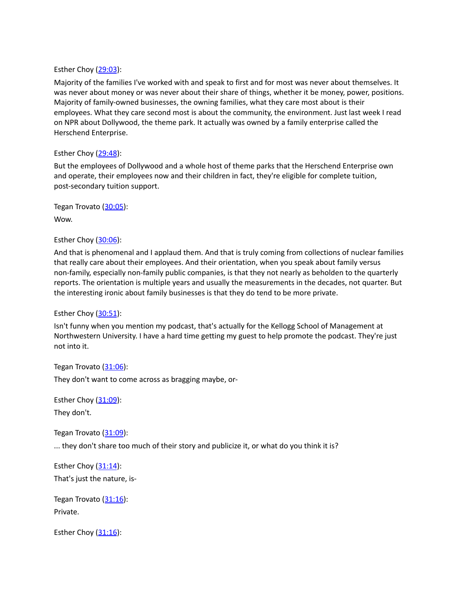### Esther Choy ([29:03](https://www.rev.com/transcript-editor/Edit?token=tTl33uRzK8blxrv0nCW18iy5zX6NOH63yH80VdJJJgBvQFo9BLCmOp77B_ErQlSfjdqwbctBKLe-L2AfbV7zFnK1Jg4&loadFrom=DocumentDeeplink&ts=1743.5)):

Majority of the families I've worked with and speak to first and for most was never about themselves. It was never about money or was never about their share of things, whether it be money, power, positions. Majority of family-owned businesses, the owning families, what they care most about is their employees. What they care second most is about the community, the environment. Just last week I read on NPR about Dollywood, the theme park. It actually was owned by a family enterprise called the Herschend Enterprise.

### Esther Choy  $(29:48)$  $(29:48)$  $(29:48)$ :

But the employees of Dollywood and a whole host of theme parks that the Herschend Enterprise own and operate, their employees now and their children in fact, they're eligible for complete tuition, post-secondary tuition support.

Tegan Trovato ([30:05\)](https://www.rev.com/transcript-editor/Edit?token=hnsysAO4aGBoJ04AZ_tZ0VB-b9NDUEIcdUddqAN4-vIBv53YfmoDf8gdqeuRz_3jYtTL-3AoPQrHf6UQtSppWOgHw4s&loadFrom=DocumentDeeplink&ts=1805.3): Wow.

Esther Choy ([30:06](https://www.rev.com/transcript-editor/Edit?token=c1i5hOQs8O-g03G6W2udGJMbV9qqZcLHik1FxSzDAMJvuxKI6l6B7bYRsjksIkYdFYfSUAMnXhPsli8M8bfOMqWC75M&loadFrom=DocumentDeeplink&ts=1806.45)):

And that is phenomenal and I applaud them. And that is truly coming from collections of nuclear families that really care about their employees. And their orientation, when you speak about family versus non-family, especially non-family public companies, is that they not nearly as beholden to the quarterly reports. The orientation is multiple years and usually the measurements in the decades, not quarter. But the interesting ironic about family businesses is that they do tend to be more private.

Esther Choy ([30:51](https://www.rev.com/transcript-editor/Edit?token=7Xo0jYHXlcAYqm5lRzYOnO2QIJhBP4xbVyjW3Q_GQa3qOmIEf-qiM1C0dO1rk23OJ8HPhoJzk-KFQDcc_Xe5whuh52I&loadFrom=DocumentDeeplink&ts=1851.25)):

Isn't funny when you mention my podcast, that's actually for the Kellogg School of Management at Northwestern University. I have a hard time getting my guest to help promote the podcast. They're just not into it.

Tegan Trovato ([31:06\)](https://www.rev.com/transcript-editor/Edit?token=oTvyJidUVqjzYNcV_9Aq1xqEuJirBrrC4hBEA8cnHN5_BvMmOR-Cc81V1uRyODpZJEEEwYn5gZkC7YJlBQ0bNp43LTw&loadFrom=DocumentDeeplink&ts=1866.81): They don't want to come across as bragging maybe, or-

Esther Choy  $(31:09)$  $(31:09)$  $(31:09)$ : They don't.

Tegan Trovato ([31:09\)](https://www.rev.com/transcript-editor/Edit?token=sBVeZsxaCVcVXPp9yZi766Yx42sVVi7HkpZLYis6gz0FOXRx_GzcKqxUHNWsZ6-o-wcHrxveODr3FcUGxkDs5WYhcf4&loadFrom=DocumentDeeplink&ts=1869.76):

... they don't share too much of their story and publicize it, or what do you think it is?

Esther Choy ([31:14](https://www.rev.com/transcript-editor/Edit?token=Wosweowk8Oc6N2sr2VSxcIlH3CUicE39J54PBWEegJl39CH_IqmP1e4TCjzxkdUL1fb5r23_2ngymiC7V6uAReXJTAE&loadFrom=DocumentDeeplink&ts=1874.62)): That's just the nature, is-

Tegan Trovato  $(31:16)$  $(31:16)$ : Private.

Esther Choy  $(31:16)$  $(31:16)$  $(31:16)$ :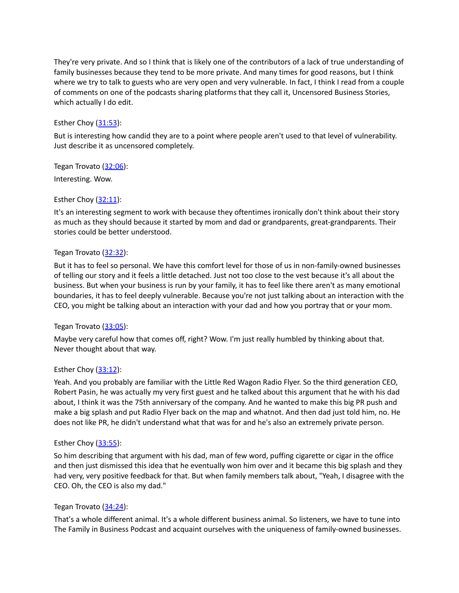They're very private. And so I think that is likely one of the contributors of a lack of true understanding of family businesses because they tend to be more private. And many times for good reasons, but I think where we try to talk to guests who are very open and very vulnerable. In fact, I think I read from a couple of comments on one of the podcasts sharing platforms that they call it, Uncensored Business Stories, which actually I do edit.

# Esther Choy ([31:53](https://www.rev.com/transcript-editor/Edit?token=dYBNsXUXn_03skxzda9ELHlTQ38Jwu1hVLlXTTi0Op7c1ZXcJCXKZKTnhjVNXE_DcJUWjcPoJGFsiCaIS2WQPOil7qQ&loadFrom=DocumentDeeplink&ts=1913.14)):

But is interesting how candid they are to a point where people aren't used to that level of vulnerability. Just describe it as uncensored completely.

Tegan Trovato ([32:06\)](https://www.rev.com/transcript-editor/Edit?token=l1UWoFTn5lEtyZxUrF7HOGXNYJkt6h1ncoS7IV5YUJolOPsMiJX5W_ZAjIgA1PD-7L2XAuCGOwwjNJyjFaxtMSlB7_Y&loadFrom=DocumentDeeplink&ts=1926.51): Interesting. Wow.

# Esther Choy ([32:11](https://www.rev.com/transcript-editor/Edit?token=SyM0U8RHEXTfSZq4402bxaxfF0DVWHW_7KoL0vkksYMejyxiFMLgEmwbIiSjzEWuxYlUsGeB0JoVaHtm_ovFgBJmkL4&loadFrom=DocumentDeeplink&ts=1931.47)):

It's an interesting segment to work with because they oftentimes ironically don't think about their story as much as they should because it started by mom and dad or grandparents, great-grandparents. Their stories could be better understood.

### Tegan Trovato ([32:32\)](https://www.rev.com/transcript-editor/Edit?token=WTklXpEiEnzjuAuOh6pozQiMdMj3bO5mDqrGNGS7362maEX5Hsptz0bU3u7D1-CUAH_uVPaDUB5tmdZvDvdMU9xaObU&loadFrom=DocumentDeeplink&ts=1952.54):

But it has to feel so personal. We have this comfort level for those of us in non-family-owned businesses of telling our story and it feels a little detached. Just not too close to the vest because it's all about the business. But when your business is run by your family, it has to feel like there aren't as many emotional boundaries, it has to feel deeply vulnerable. Because you're not just talking about an interaction with the CEO, you might be talking about an interaction with your dad and how you portray that or your mom.

### Tegan Trovato ([33:05\)](https://www.rev.com/transcript-editor/Edit?token=VUYNy49BFgfue-DqSDwx8_8A4BpAAvEnhn6_IYnEtXbLWEaL_xfuOgXMRRCYmMrr4MgyMHo5EQ5EcGI9He8AsszQkW4&loadFrom=DocumentDeeplink&ts=1985.93):

Maybe very careful how that comes off, right? Wow. I'm just really humbled by thinking about that. Never thought about that way.

### Esther Choy ([33:12](https://www.rev.com/transcript-editor/Edit?token=KYG1koy7C7UfstJeZk9RoGzfZ5Vsjhk22nKG0VQhVt2tPIZui_JhNlp-eoSzGqzjomx6wpbfnXzHgut0vflEdy3f6Iw&loadFrom=DocumentDeeplink&ts=1992.72)):

Yeah. And you probably are familiar with the Little Red Wagon Radio Flyer. So the third generation CEO, Robert Pasin, he was actually my very first guest and he talked about this argument that he with his dad about, I think it was the 75th anniversary of the company. And he wanted to make this big PR push and make a big splash and put Radio Flyer back on the map and whatnot. And then dad just told him, no. He does not like PR, he didn't understand what that was for and he's also an extremely private person.

### Esther Choy  $(33:55)$  $(33:55)$  $(33:55)$ :

So him describing that argument with his dad, man of few word, puffing cigarette or cigar in the office and then just dismissed this idea that he eventually won him over and it became this big splash and they had very, very positive feedback for that. But when family members talk about, "Yeah, I disagree with the CEO. Oh, the CEO is also my dad."

### Tegan Trovato  $(34:24)$  $(34:24)$ :

That's a whole different animal. It's a whole different business animal. So listeners, we have to tune into The Family in Business Podcast and acquaint ourselves with the uniqueness of family-owned businesses.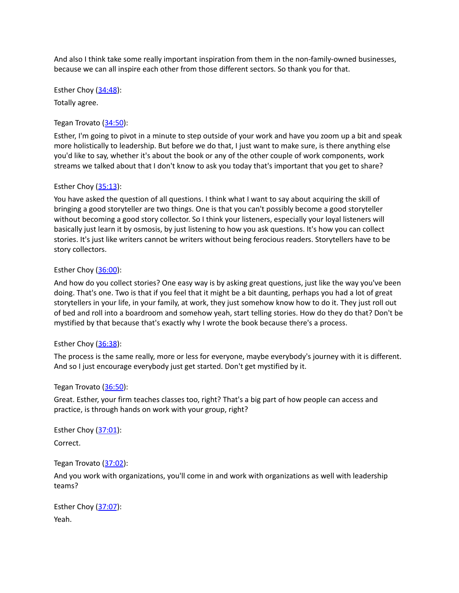And also I think take some really important inspiration from them in the non-family-owned businesses, because we can all inspire each other from those different sectors. So thank you for that.

Esther Choy ([34:48](https://www.rev.com/transcript-editor/Edit?token=z8tlN4gjphvzmNQKbmuZNUKMuewuGPoGHhKnphL25niB6NDwh7n4M6YLmG8qEQZ8FAUHccmfm5RlWdaWq1IsnXafSUM&loadFrom=DocumentDeeplink&ts=2088.96)): Totally agree.

# Tegan Trovato ([34:50\)](https://www.rev.com/transcript-editor/Edit?token=0axt2tqtHcneh9gdTaykV-cIpbb8Yus8Uj2UDc88P7UqLvuqgqMfn-wzIi6XSv42yYmInymNOmVx4S2RkgMm9pSzgy0&loadFrom=DocumentDeeplink&ts=2090.22):

Esther, I'm going to pivot in a minute to step outside of your work and have you zoom up a bit and speak more holistically to leadership. But before we do that, I just want to make sure, is there anything else you'd like to say, whether it's about the book or any of the other couple of work components, work streams we talked about that I don't know to ask you today that's important that you get to share?

### Esther Choy  $(35:13)$  $(35:13)$  $(35:13)$ :

You have asked the question of all questions. I think what I want to say about acquiring the skill of bringing a good storyteller are two things. One is that you can't possibly become a good storyteller without becoming a good story collector. So I think your listeners, especially your loyal listeners will basically just learn it by osmosis, by just listening to how you ask questions. It's how you can collect stories. It's just like writers cannot be writers without being ferocious readers. Storytellers have to be story collectors.

# Esther Choy  $(36:00)$  $(36:00)$  $(36:00)$ :

And how do you collect stories? One easy way is by asking great questions, just like the way you've been doing. That's one. Two is that if you feel that it might be a bit daunting, perhaps you had a lot of great storytellers in your life, in your family, at work, they just somehow know how to do it. They just roll out of bed and roll into a boardroom and somehow yeah, start telling stories. How do they do that? Don't be mystified by that because that's exactly why I wrote the book because there's a process.

### Esther Choy  $(36:38)$  $(36:38)$  $(36:38)$ :

The process is the same really, more or less for everyone, maybe everybody's journey with it is different. And so I just encourage everybody just get started. Don't get mystified by it.

### Tegan Trovato ([36:50\)](https://www.rev.com/transcript-editor/Edit?token=5tZDpA0-5dVOhHqqH6apOq6JIu1VhS3pucdejqbAYFhoCpbor1FQbpb97a_vg-UbRAlLtGkKbGn0wCsZ6g3hznuVCkM&loadFrom=DocumentDeeplink&ts=2210.53):

Great. Esther, your firm teaches classes too, right? That's a big part of how people can access and practice, is through hands on work with your group, right?

Esther Choy ([37:01](https://www.rev.com/transcript-editor/Edit?token=iZq0mL1PJZ0Op4iPvpOoKFGc1ixn3Fxxn3HFU81DF9IgR0kJUOMy0je28qeovJvOwa-afLP-Vnha3GMq4Men8gX0AVg&loadFrom=DocumentDeeplink&ts=2221.46)): Correct.

### Tegan Trovato ([37:02\)](https://www.rev.com/transcript-editor/Edit?token=x0A_7bo49lzDp02IbwhL-ZsYk8lDE0WVEhA6rYEnZRH-B3K7vpUVPvalU5UY1XASuiEztnOWo29Z3bYS8TqgtVfevEg&loadFrom=DocumentDeeplink&ts=2222.01):

And you work with organizations, you'll come in and work with organizations as well with leadership teams?

Esther Choy ([37:07](https://www.rev.com/transcript-editor/Edit?token=q0sRXJ3Zqofqli7IpeV5HO-Hjx6Ic9kKRjOxmfNnmFXCk2BBn-3aKsiUHtzVsz5lIEkUiaHLAnkX2vFtoITwYTVCWcU&loadFrom=DocumentDeeplink&ts=2227.08)): Yeah.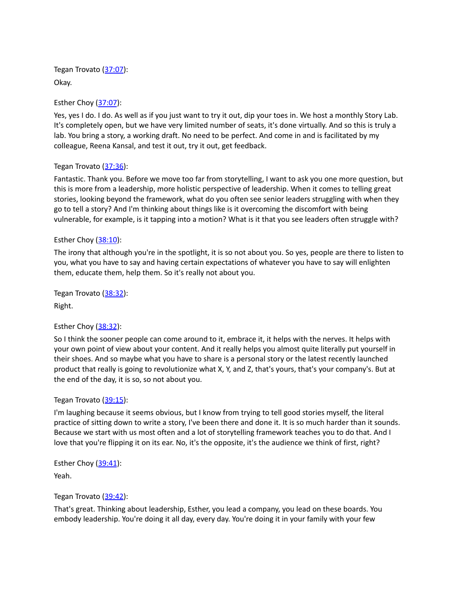Tegan Trovato ([37:07\)](https://www.rev.com/transcript-editor/Edit?token=9K3YZY7AbF7k8Oh0VgrEqWR-NzYZNXNlBIRsVVBuWxKPbg0SAgDaJEhEp6213kfpYnXA8PstMTWgYQVM_C26sCdnfpM&loadFrom=DocumentDeeplink&ts=2227.1): Okay.

Esther Choy ([37:07](https://www.rev.com/transcript-editor/Edit?token=tTDPzofA-kzhPEZDDzp8mXZl3JCsYMg1CSTIZgdGRuLBvqxH2vf0gFfKJAJNzt48FfRCu6ewvOv1UCeGv1xIYd8RJ6I&loadFrom=DocumentDeeplink&ts=2227.45)):

Yes, yes I do. I do. As well as if you just want to try it out, dip your toes in. We host a monthly Story Lab. It's completely open, but we have very limited number of seats, it's done virtually. And so this is truly a lab. You bring a story, a working draft. No need to be perfect. And come in and is facilitated by my colleague, Reena Kansal, and test it out, try it out, get feedback.

### Tegan Trovato ([37:36\)](https://www.rev.com/transcript-editor/Edit?token=fYwDzgBvF_xHiAaDrPGb06T5QEzxnPRHn7ojfvYI2Xa8XTBy3S3T2hh1DbLzOEx8Zqx3XGwtw0mVJMY-ofBWadl-avc&loadFrom=DocumentDeeplink&ts=2256.16):

Fantastic. Thank you. Before we move too far from storytelling, I want to ask you one more question, but this is more from a leadership, more holistic perspective of leadership. When it comes to telling great stories, looking beyond the framework, what do you often see senior leaders struggling with when they go to tell a story? And I'm thinking about things like is it overcoming the discomfort with being vulnerable, for example, is it tapping into a motion? What is it that you see leaders often struggle with?

### Esther Choy  $(38:10)$  $(38:10)$  $(38:10)$ :

The irony that although you're in the spotlight, it is so not about you. So yes, people are there to listen to you, what you have to say and having certain expectations of whatever you have to say will enlighten them, educate them, help them. So it's really not about you.

Tegan Trovato ([38:32\)](https://www.rev.com/transcript-editor/Edit?token=bX1J8C-jr4Y8K0THbtQw5ZbublQACuoBOO81ZzoAjaWcx3wLt-by5hPC6Y2Lb8Y75sRzAFy0P5JOo9B2glYlhzv4s8A&loadFrom=DocumentDeeplink&ts=2312.12): Right.

### Esther Choy ([38:32](https://www.rev.com/transcript-editor/Edit?token=RLLJEbypdEl-UvGLl7pjfrELD63h8Jz-jAYwDpl16FABwBNShkEv5bE3u_7UmoqGcNM_uZzbWv9iOhS6Ri0J0Wm_HpE&loadFrom=DocumentDeeplink&ts=2312.69)):

So I think the sooner people can come around to it, embrace it, it helps with the nerves. It helps with your own point of view about your content. And it really helps you almost quite literally put yourself in their shoes. And so maybe what you have to share is a personal story or the latest recently launched product that really is going to revolutionize what X, Y, and Z, that's yours, that's your company's. But at the end of the day, it is so, so not about you.

### Tegan Trovato ([39:15\)](https://www.rev.com/transcript-editor/Edit?token=R2l3Pjh53IkMXtDx_hyYswVHKEWkmqp5vpnQRVkW3J4AUpWogBwSzFdE8VHxgYEgAWVbVUYGEwh5TdHLvsq0yDrmR58&loadFrom=DocumentDeeplink&ts=2355.4):

I'm laughing because it seems obvious, but I know from trying to tell good stories myself, the literal practice of sitting down to write a story, I've been there and done it. It is so much harder than it sounds. Because we start with us most often and a lot of storytelling framework teaches you to do that. And I love that you're flipping it on its ear. No, it's the opposite, it's the audience we think of first, right?

Esther Choy  $(39:41)$  $(39:41)$  $(39:41)$ :

Yeah.

### Tegan Trovato ([39:42\)](https://www.rev.com/transcript-editor/Edit?token=mwZXd3hGj55lLO5Tm6XTC7x02ohrqi8QA2ogdEKJ3xjnxAlTK1hlOB-G_RWT987obr4BIWrvTg6hfsbB_gKR_1_xadI&loadFrom=DocumentDeeplink&ts=2382.58):

That's great. Thinking about leadership, Esther, you lead a company, you lead on these boards. You embody leadership. You're doing it all day, every day. You're doing it in your family with your few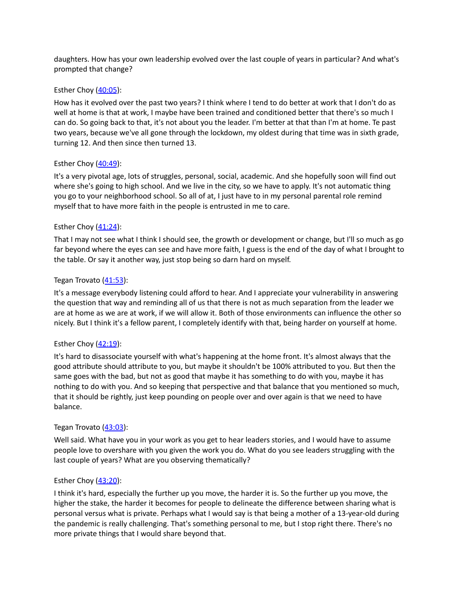daughters. How has your own leadership evolved over the last couple of years in particular? And what's prompted that change?

# Esther Choy  $(40:05)$  $(40:05)$  $(40:05)$ :

How has it evolved over the past two years? I think where I tend to do better at work that I don't do as well at home is that at work, I maybe have been trained and conditioned better that there's so much I can do. So going back to that, it's not about you the leader. I'm better at that than I'm at home. Te past two years, because we've all gone through the lockdown, my oldest during that time was in sixth grade, turning 12. And then since then turned 13.

# Esther Choy  $(40:49)$  $(40:49)$  $(40:49)$ :

It's a very pivotal age, lots of struggles, personal, social, academic. And she hopefully soon will find out where she's going to high school. And we live in the city, so we have to apply. It's not automatic thing you go to your neighborhood school. So all of at, I just have to in my personal parental role remind myself that to have more faith in the people is entrusted in me to care.

# Esther Choy  $(41:24)$  $(41:24)$  $(41:24)$ :

That I may not see what I think I should see, the growth or development or change, but I'll so much as go far beyond where the eyes can see and have more faith, I guess is the end of the day of what I brought to the table. Or say it another way, just stop being so darn hard on myself.

# Tegan Trovato ([41:53\)](https://www.rev.com/transcript-editor/Edit?token=5qft_eWrcl6gnwgHPbHypca2fUsU8dN_Qkol1gaiDYs8_-593B99dvzXHlMRGdvwul_f8duZlnbj26g63O6jhGsBKvI&loadFrom=DocumentDeeplink&ts=2513.87):

It's a message everybody listening could afford to hear. And I appreciate your vulnerability in answering the question that way and reminding all of us that there is not as much separation from the leader we are at home as we are at work, if we will allow it. Both of those environments can influence the other so nicely. But I think it's a fellow parent, I completely identify with that, being harder on yourself at home.

### Esther Choy  $(42:19)$  $(42:19)$  $(42:19)$ :

It's hard to disassociate yourself with what's happening at the home front. It's almost always that the good attribute should attribute to you, but maybe it shouldn't be 100% attributed to you. But then the same goes with the bad, but not as good that maybe it has something to do with you, maybe it has nothing to do with you. And so keeping that perspective and that balance that you mentioned so much, that it should be rightly, just keep pounding on people over and over again is that we need to have balance.

### Tegan Trovato ([43:03\)](https://www.rev.com/transcript-editor/Edit?token=iY4mGcTajfvfGKEnpaOTi59DkGSErt4W3dvBkIq9yKGKbOg8uhhSfW0UtJZUEenH_m0Br1cwbzDprXFc-fpy5fAVQqg&loadFrom=DocumentDeeplink&ts=2583.47):

Well said. What have you in your work as you get to hear leaders stories, and I would have to assume people love to overshare with you given the work you do. What do you see leaders struggling with the last couple of years? What are you observing thematically?

### Esther Choy  $(43:20)$  $(43:20)$  $(43:20)$ :

I think it's hard, especially the further up you move, the harder it is. So the further up you move, the higher the stake, the harder it becomes for people to delineate the difference between sharing what is personal versus what is private. Perhaps what I would say is that being a mother of a 13-year-old during the pandemic is really challenging. That's something personal to me, but I stop right there. There's no more private things that I would share beyond that.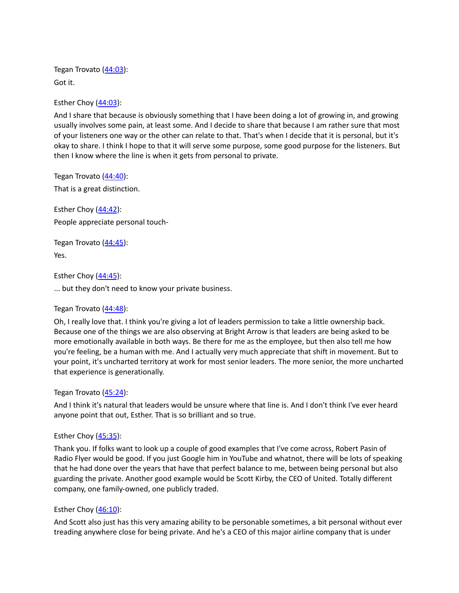Tegan Trovato ([44:03\)](https://www.rev.com/transcript-editor/Edit?token=tP6C-OnamyBbBpPa4c016WvYiuY3iA0cg5Gd0BIkP3Js_7qdZh9DUS2F1VLlKKmJrqUcz7MGAm2OvQUKrALOkEyWUgY&loadFrom=DocumentDeeplink&ts=2643.28): Got it.

Esther Choy ([44:03](https://www.rev.com/transcript-editor/Edit?token=f89r2RlgOKF2athpHnCW3z1uLEnMyyKgsbwcmALMJzgVNA1RL0OjL_QgU446NB59g-SBQDep7XLvfzLEjDflQHOMFRE&loadFrom=DocumentDeeplink&ts=2643.7)):

And I share that because is obviously something that I have been doing a lot of growing in, and growing usually involves some pain, at least some. And I decide to share that because I am rather sure that most of your listeners one way or the other can relate to that. That's when I decide that it is personal, but it's okay to share. I think I hope to that it will serve some purpose, some good purpose for the listeners. But then I know where the line is when it gets from personal to private.

Tegan Trovato ([44:40\)](https://www.rev.com/transcript-editor/Edit?token=LhW_JldKwjLxdlzz8iEKyC8h9-OZjS93n7P6r1APHxxYdFgsIt0NA1ZoFHrTC4OOO7C8lTmrzhkQlqhzNSQvV8zqRAs&loadFrom=DocumentDeeplink&ts=2680.37): That is a great distinction.

Esther Choy ([44:42](https://www.rev.com/transcript-editor/Edit?token=AXiZRWGlYlYL7i9O6xMbnXGJ6T-Jhug47tHgaXTmVOxNFdA_s_Z8yJgpnJttRorNFCCFOJitwDOE3yqZua4Tkj0HAB8&loadFrom=DocumentDeeplink&ts=2682.27)): People appreciate personal touch-

Tegan Trovato ([44:45\)](https://www.rev.com/transcript-editor/Edit?token=S2MpobFShP9-42U2Xyp7gcdIG7K0_h8111oA6UZ9mLoAAMCCO8DNfKxlYcDg-CcDAGKb9b_E-uJOCIswOnITf86MEoI&loadFrom=DocumentDeeplink&ts=2685.16): Yes.

Esther Choy ([44:45](https://www.rev.com/transcript-editor/Edit?token=-TlvlIbpI1pGkFke7WfxAofeHhFsa8oD91_92Wmhj92wbWrH3gs5ypXbI-RfytBf7fBbYJaOL3C1ArFzhyGESWdxupw&loadFrom=DocumentDeeplink&ts=2685.79)):

... but they don't need to know your private business.

Tegan Trovato ([44:48\)](https://www.rev.com/transcript-editor/Edit?token=0AONzOktLGX5SIHvTjwrUUrEAnFnAtt9Q1QMdX6QF7v19OeTLrqPFAE1cEilL5Aqzh0-SYegxZ4RGEqY0C8e-N89eF4&loadFrom=DocumentDeeplink&ts=2688.51):

Oh, I really love that. I think you're giving a lot of leaders permission to take a little ownership back. Because one of the things we are also observing at Bright Arrow is that leaders are being asked to be more emotionally available in both ways. Be there for me as the employee, but then also tell me how you're feeling, be a human with me. And I actually very much appreciate that shift in movement. But to your point, it's uncharted territory at work for most senior leaders. The more senior, the more uncharted that experience is generationally.

### Tegan Trovato ([45:24\)](https://www.rev.com/transcript-editor/Edit?token=8oEPjQy9nKWCszBNMiuEtZYBjhhOBFiQavK42uxY25_dLEMfkQfYxNe1Oq6zqrnrsMVd4wrSiiME5uDl6g597riq8r4&loadFrom=DocumentDeeplink&ts=2724.38):

And I think it's natural that leaders would be unsure where that line is. And I don't think I've ever heard anyone point that out, Esther. That is so brilliant and so true.

### Esther Choy  $(45:35)$  $(45:35)$  $(45:35)$ :

Thank you. If folks want to look up a couple of good examples that I've come across, Robert Pasin of Radio Flyer would be good. If you just Google him in YouTube and whatnot, there will be lots of speaking that he had done over the years that have that perfect balance to me, between being personal but also guarding the private. Another good example would be Scott Kirby, the CEO of United. Totally different company, one family-owned, one publicly traded.

#### Esther Choy  $(46:10)$  $(46:10)$  $(46:10)$ :

And Scott also just has this very amazing ability to be personable sometimes, a bit personal without ever treading anywhere close for being private. And he's a CEO of this major airline company that is under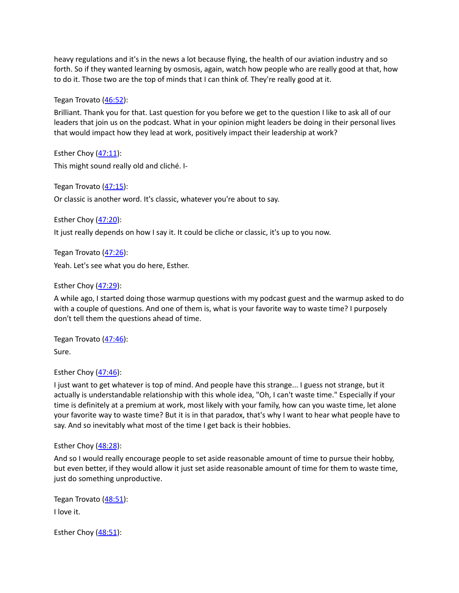heavy regulations and it's in the news a lot because flying, the health of our aviation industry and so forth. So if they wanted learning by osmosis, again, watch how people who are really good at that, how to do it. Those two are the top of minds that I can think of. They're really good at it.

Tegan Trovato ([46:52\)](https://www.rev.com/transcript-editor/Edit?token=KLgrYQsd8EJqi0bEg-K6V-1aUo3jHkAkbd8wXmw8kU2BB_aYn1MYdGEU5vQrlP8gIR6Q6-I_9e30nwfPWl3xx2FFxPA&loadFrom=DocumentDeeplink&ts=2812.42):

Brilliant. Thank you for that. Last question for you before we get to the question I like to ask all of our leaders that join us on the podcast. What in your opinion might leaders be doing in their personal lives that would impact how they lead at work, positively impact their leadership at work?

Esther Choy  $(47:11)$  $(47:11)$  $(47:11)$ : This might sound really old and cliché. I-

Tegan Trovato ([47:15\)](https://www.rev.com/transcript-editor/Edit?token=q1mBPVmQloDmjR9_-Kz1fimx92owiBG1ayCoaL42nXqrw2Zy1V2o2F24hDMRHLJfil11ykWqFJg4XJQiS9UTD9PJWnQ&loadFrom=DocumentDeeplink&ts=2835.45): Or classic is another word. It's classic, whatever you're about to say.

Esther Choy ([47:20](https://www.rev.com/transcript-editor/Edit?token=mKbR_4tIevAu29e3tdxZPJKA28-3DxSR5DaLk0DgazZ9P0GDt5WGbG8QlgKb3HLeuJc_avEX_wu7QJB4JjA06CGH62k&loadFrom=DocumentDeeplink&ts=2840.08)):

It just really depends on how I say it. It could be cliche or classic, it's up to you now.

Tegan Trovato ([47:26\)](https://www.rev.com/transcript-editor/Edit?token=_JTSWZgAGQneIn1Z32J882ow5FE8w57dcmlhwy1sTOTpj8h76y3oSdvRr5vs32h96YTeiS6z3yS-PJ5xC81-LZ7PehU&loadFrom=DocumentDeeplink&ts=2846.97): Yeah. Let's see what you do here, Esther.

Esther Choy  $(47:29)$  $(47:29)$  $(47:29)$ :

A while ago, I started doing those warmup questions with my podcast guest and the warmup asked to do with a couple of questions. And one of them is, what is your favorite way to waste time? I purposely don't tell them the questions ahead of time.

Tegan Trovato ([47:46\)](https://www.rev.com/transcript-editor/Edit?token=h6nw-LPbZPU0T5I9NuGo9edlDXT511r3WcVF927c3jpebebCpsaVu7eZ4UGXEOxG3iDgjHi_uXP980UR4xHvKkwV0oU&loadFrom=DocumentDeeplink&ts=2866.08): Sure.

Esther Choy  $(47:46)$  $(47:46)$  $(47:46)$ :

I just want to get whatever is top of mind. And people have this strange... I guess not strange, but it actually is understandable relationship with this whole idea, "Oh, I can't waste time." Especially if your time is definitely at a premium at work, most likely with your family, how can you waste time, let alone your favorite way to waste time? But it is in that paradox, that's why I want to hear what people have to say. And so inevitably what most of the time I get back is their hobbies.

Esther Choy ([48:28](https://www.rev.com/transcript-editor/Edit?token=qYpFzIN0iqXvhFla2q3s2_mXh5aPGp8t5kpBiS4O3VMuKU90fPGs6Af2r7OakJgufSdMmUrVAPoHoeglKfId-mCr-Lc&loadFrom=DocumentDeeplink&ts=2908.32)):

And so I would really encourage people to set aside reasonable amount of time to pursue their hobby, but even better, if they would allow it just set aside reasonable amount of time for them to waste time, just do something unproductive.

Tegan Trovato ([48:51\)](https://www.rev.com/transcript-editor/Edit?token=iwIiQK52pJtyEi8PQaBVLaI9Q-28ycsVucbP7vHJEoRYMdGpkeoB_uB-JhQ4B5fgXPbWNkWlTOan1iGnjN69YJei_KY&loadFrom=DocumentDeeplink&ts=2931.21): I love it.

Esther Choy  $(48:51)$  $(48:51)$  $(48:51)$ :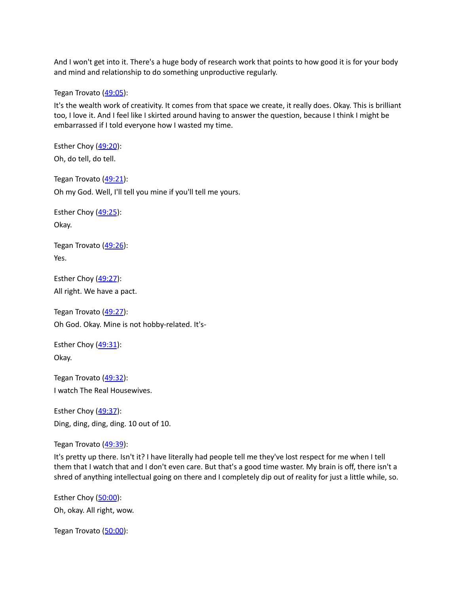And I won't get into it. There's a huge body of research work that points to how good it is for your body and mind and relationship to do something unproductive regularly.

Tegan Trovato ([49:05\)](https://www.rev.com/transcript-editor/Edit?token=Jwk4wI-JVqXdB2H1KbIfsv-SSDp-s6evfZJDhqYAUBtGLBXRFruF766GCp72NtkUH1hus6EZj29k9wXWOvIQ6Fuoz50&loadFrom=DocumentDeeplink&ts=2945.92):

It's the wealth work of creativity. It comes from that space we create, it really does. Okay. This is brilliant too, I love it. And I feel like I skirted around having to answer the question, because I think I might be embarrassed if I told everyone how I wasted my time.

Esther Choy  $(49:20)$  $(49:20)$  $(49:20)$ : Oh, do tell, do tell.

Tegan Trovato ([49:21\)](https://www.rev.com/transcript-editor/Edit?token=iCsouFj-yETwIkelEtCa7wz3V1WTBpFXYyBVDmGeZSHUTTxZAnKvFgNBSZXFiPYp10WDzBGwmDJlP5z6fr58j19rGoQ&loadFrom=DocumentDeeplink&ts=2961.75): Oh my God. Well, I'll tell you mine if you'll tell me yours.

Esther Choy  $(49:25)$  $(49:25)$  $(49:25)$ : Okay.

Tegan Trovato ([49:26\)](https://www.rev.com/transcript-editor/Edit?token=rlh5dsVepjPSuUSqaCIGUSTC4QZMFBfRLLNQEO7oj57HJrLsfkb1RTEEMb6xix9Cn71fwIlzv3383DyfrdHaLqtBlXw&loadFrom=DocumentDeeplink&ts=2966.37): Yes.

Esther Choy  $(49:27)$  $(49:27)$  $(49:27)$ : All right. We have a pact.

Tegan Trovato ([49:27\)](https://www.rev.com/transcript-editor/Edit?token=QYQCqKdVRVbHQFKEqJjQyfR1xgST8niPaiTEZ-6ItIq-0lri4B-6h9ULpfukhqc6l4ukXZcO7KsM2LR9q4NtLPzwyjs&loadFrom=DocumentDeeplink&ts=2967.99): Oh God. Okay. Mine is not hobby-related. It's-

Esther Choy  $(49:31)$  $(49:31)$  $(49:31)$ : Okay.

Tegan Trovato ([49:32\)](https://www.rev.com/transcript-editor/Edit?token=Uoga5Vl_i76cmtrSIXcy-deLLQX3_0TM3a6put6x9P76nhKgFYrMA27q60ytr06pbrCbog1KZb-wj83hT3_7fM3D3TU&loadFrom=DocumentDeeplink&ts=2972.26): I watch The Real Housewives.

Esther Choy  $(49:37)$  $(49:37)$  $(49:37)$ : Ding, ding, ding, ding. 10 out of 10.

Tegan Trovato ([49:39\)](https://www.rev.com/transcript-editor/Edit?token=ovAIyPvl9r56X-PrCTbsLe_mWFBCthAY9u5oCwDGT1BKaoqM1rAJbK1lh1X6D2gKpGm4uIqPIkzAs-UiGc99P6miiiE&loadFrom=DocumentDeeplink&ts=2979.04):

It's pretty up there. Isn't it? I have literally had people tell me they've lost respect for me when I tell them that I watch that and I don't even care. But that's a good time waster. My brain is off, there isn't a shred of anything intellectual going on there and I completely dip out of reality for just a little while, so.

Esther Choy ([50:00](https://www.rev.com/transcript-editor/Edit?token=ABHMFITfvBFykINvpZjV79StA6McWnZcc8VdOmJaWJAnBZylPJRk6Bm4XObxXviv5lC-2f9OWZqj0rr82aSD2Qmm9pw&loadFrom=DocumentDeeplink&ts=3000.02)): Oh, okay. All right, wow.

Tegan Trovato ([50:00\)](https://www.rev.com/transcript-editor/Edit?token=9beREtLzezQtlZ_tukfuh4sX8hhxJ_iiDZeaOMpKTJE-nr0B9fgNQzjgNrPDFPh0Q3Nt_DyXFEt2zUFuYHKDbVzRzyc&loadFrom=DocumentDeeplink&ts=3000.03):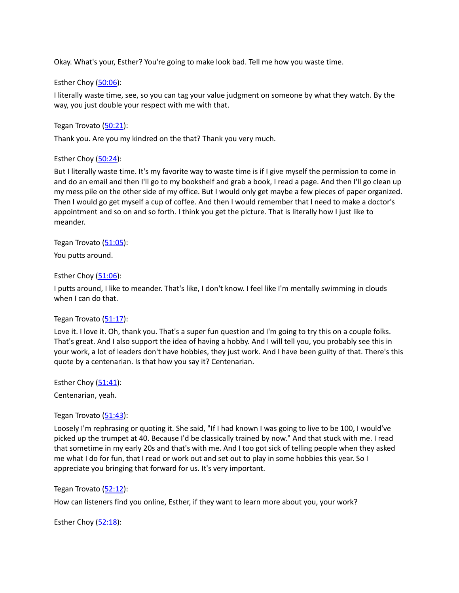Okay. What's your, Esther? You're going to make look bad. Tell me how you waste time.

# Esther Choy ([50:06](https://www.rev.com/transcript-editor/Edit?token=MDN5ASXlFOL--MQFeA9uGkMdEEbrw7Pk1bpmUOSaAsRhEQMnZn2iUn0C9L1zGOWLbIrSXBSBk8O8VEeykHNA0ZjAtMo&loadFrom=DocumentDeeplink&ts=3006.51)):

I literally waste time, see, so you can tag your value judgment on someone by what they watch. By the way, you just double your respect with me with that.

Tegan Trovato ([50:21\)](https://www.rev.com/transcript-editor/Edit?token=eS3BYSb4Hf8oCuGwkZ-ky8IUwQWMmV-hkH2J5RxkSMZqic3pQXa0bWmtu7CS4sghsQFJRefEnYa6wEu2X6wn7iHXPvM&loadFrom=DocumentDeeplink&ts=3021.27):

Thank you. Are you my kindred on the that? Thank you very much.

### Esther Choy  $(50:24)$  $(50:24)$  $(50:24)$ :

But I literally waste time. It's my favorite way to waste time is if I give myself the permission to come in and do an email and then I'll go to my bookshelf and grab a book, I read a page. And then I'll go clean up my mess pile on the other side of my office. But I would only get maybe a few pieces of paper organized. Then I would go get myself a cup of coffee. And then I would remember that I need to make a doctor's appointment and so on and so forth. I think you get the picture. That is literally how I just like to meander.

Tegan Trovato ([51:05\)](https://www.rev.com/transcript-editor/Edit?token=S8i8EeVYT0czlpyJgx1uC7cYFX7rY892gLBV3D8kiJsEOG2Gx3Qevg5bQNVcObdGlxjAKeSeIih4vUpzmvPKdH92QH8&loadFrom=DocumentDeeplink&ts=3065.14): You putts around.

### Esther Choy  $(51:06)$  $(51:06)$  $(51:06)$ :

I putts around, I like to meander. That's like, I don't know. I feel like I'm mentally swimming in clouds when I can do that.

### Tegan Trovato ([51:17\)](https://www.rev.com/transcript-editor/Edit?token=zthPHbGpm_igGYXYtzEHO4Y4USD_6FIPNdGNYeaKfYwddRePphudgrm9CABmv81065S7fxitdamMRN0pgpM7oEbDTGM&loadFrom=DocumentDeeplink&ts=3077.55):

Love it. I love it. Oh, thank you. That's a super fun question and I'm going to try this on a couple folks. That's great. And I also support the idea of having a hobby. And I will tell you, you probably see this in your work, a lot of leaders don't have hobbies, they just work. And I have been guilty of that. There's this quote by a centenarian. Is that how you say it? Centenarian.

Esther Choy  $(51:41)$  $(51:41)$  $(51:41)$ : Centenarian, yeah.

Tegan Trovato ([51:43\)](https://www.rev.com/transcript-editor/Edit?token=haqbCDEplitBBHAFstJA9ZiMOQQkQi1_e__CbMBCoyK79DKamih7H1bTHCcFp65eiWfIbcblO4aIuuuXRzcHQqSCL-M&loadFrom=DocumentDeeplink&ts=3103.63):

Loosely I'm rephrasing or quoting it. She said, "If I had known I was going to live to be 100, I would've picked up the trumpet at 40. Because I'd be classically trained by now." And that stuck with me. I read that sometime in my early 20s and that's with me. And I too got sick of telling people when they asked me what I do for fun, that I read or work out and set out to play in some hobbies this year. So I appreciate you bringing that forward for us. It's very important.

#### Tegan Trovato ([52:12\)](https://www.rev.com/transcript-editor/Edit?token=cr7lcBnWS1Mw6L1tphncIgj5LokETo7wsgP_H5prO5x085SJNLI6wTXdTCEG_ZOMhR_vzQnhRmScLmXtdNvyakRvyxE&loadFrom=DocumentDeeplink&ts=3132.26):

How can listeners find you online, Esther, if they want to learn more about you, your work?

Esther Choy ([52:18](https://www.rev.com/transcript-editor/Edit?token=BY0pCY7ZQLFCRToIl04Ch2OZCElc-lU6aq_hFDy9N21mXUOI9I234mTRQYI_-dCuEUBBTZ855U0uWlsOWW_XNnNV8jk&loadFrom=DocumentDeeplink&ts=3138.21)):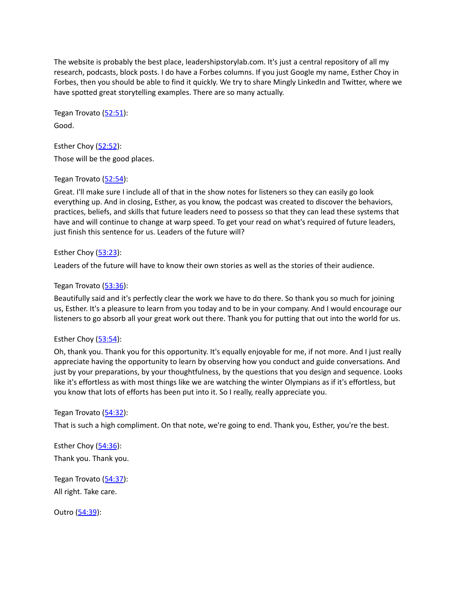The website is probably the best place, leadershipstorylab.com. It's just a central repository of all my research, podcasts, block posts. I do have a Forbes columns. If you just Google my name, Esther Choy in Forbes, then you should be able to find it quickly. We try to share Mingly LinkedIn and Twitter, where we have spotted great storytelling examples. There are so many actually.

Tegan Trovato ([52:51\)](https://www.rev.com/transcript-editor/Edit?token=_YahBkhdMWOVnWnaRHobbcT7evQPdNJMsQm0QlL3ggOTWD0jDBKBAosvaCpb5BFwgqOnlj6f-PiC9px_S_Bpqb-Ozmc&loadFrom=DocumentDeeplink&ts=3171.4): Good.

Esther Choy  $(52:52)$  $(52:52)$  $(52:52)$ : Those will be the good places.

### Tegan Trovato ([52:54\)](https://www.rev.com/transcript-editor/Edit?token=wV3691nc2Hv1tb3b8FEatNYv-Hg1lpfcCL0mC4rteNJwjzhPWeFsBkOtqyoFLJcHbNl-7CLuEfoMfFSdKLiC4bUD8QM&loadFrom=DocumentDeeplink&ts=3174.53):

Great. I'll make sure I include all of that in the show notes for listeners so they can easily go look everything up. And in closing, Esther, as you know, the podcast was created to discover the behaviors, practices, beliefs, and skills that future leaders need to possess so that they can lead these systems that have and will continue to change at warp speed. To get your read on what's required of future leaders, just finish this sentence for us. Leaders of the future will?

# Esther Choy ([53:23](https://www.rev.com/transcript-editor/Edit?token=EB6CLIabubkTTOuLnDSIbjplGtV_PDYmRJYU9mbKhr04LSeRB8c1rJxUfdvXANx2p_n1-j6haZEH6XAYb_h9TKIrUWM&loadFrom=DocumentDeeplink&ts=3203.36)):

Leaders of the future will have to know their own stories as well as the stories of their audience.

# Tegan Trovato ([53:36\)](https://www.rev.com/transcript-editor/Edit?token=2hZGbHmn9YWlrKUf6L8EpINT83SRfpGlZ2WPdv0lSUS0rMS-F7Uvtc01x4G71_WCj6X0W1_XMqnWl1GUVsQZfOfu_ys&loadFrom=DocumentDeeplink&ts=3216.16):

Beautifully said and it's perfectly clear the work we have to do there. So thank you so much for joining us, Esther. It's a pleasure to learn from you today and to be in your company. And I would encourage our listeners to go absorb all your great work out there. Thank you for putting that out into the world for us.

### Esther Choy  $(53:54)$  $(53:54)$  $(53:54)$ :

Oh, thank you. Thank you for this opportunity. It's equally enjoyable for me, if not more. And I just really appreciate having the opportunity to learn by observing how you conduct and guide conversations. And just by your preparations, by your thoughtfulness, by the questions that you design and sequence. Looks like it's effortless as with most things like we are watching the winter Olympians as if it's effortless, but you know that lots of efforts has been put into it. So I really, really appreciate you.

### Tegan Trovato ([54:32\)](https://www.rev.com/transcript-editor/Edit?token=L9OQ5PORjTH-jJJ7YX-9z0gHv3kGL7JHjmn1dYj4dN0DfafOpQWKpALer3e3jahZhnAI7HmYC1B1IjyHrLibHnYPBxE&loadFrom=DocumentDeeplink&ts=3272):

That is such a high compliment. On that note, we're going to end. Thank you, Esther, you're the best.

Esther Choy ([54:36](https://www.rev.com/transcript-editor/Edit?token=c0Z8BI2g4GZiBiXyKCIOjpJR4aSfHGDZ7VLMFdvsUf1QDzw2bQ4lAvmLeNLeuPTIeP_ueZFOJuLYqCl44h9B1Rx0VC8&loadFrom=DocumentDeeplink&ts=3276.38)): Thank you. Thank you.

Tegan Trovato ([54:37\)](https://www.rev.com/transcript-editor/Edit?token=7mi72lX0P5lhBkQ3Z0AUM3B6FQD0knaqhwlm1R6n3ERer-Zxue1NBNtQ56A1PIBPo0Vci7YB_0acc4OvyVzNrJOpYoI&loadFrom=DocumentDeeplink&ts=3277.6): All right. Take care.

Outro [\(54:39](https://www.rev.com/transcript-editor/Edit?token=lagG6JJliVHJE0oSvBXUww4qPg3Jt0NUIqmG5kzecHM7-y5iVODUUGCnJYe9HVkiJQyAOsTQYKpRQeZV0LSUKae_lck&loadFrom=DocumentDeeplink&ts=3279.01)):